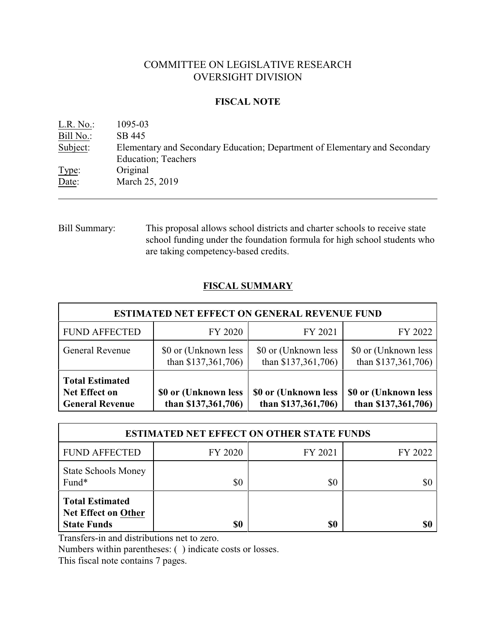# COMMITTEE ON LEGISLATIVE RESEARCH OVERSIGHT DIVISION

## **FISCAL NOTE**

| L.R. No.  | 1095-03                                                                    |
|-----------|----------------------------------------------------------------------------|
| Bill No.: | SB 445                                                                     |
| Subject:  | Elementary and Secondary Education; Department of Elementary and Secondary |
|           | <b>Education</b> ; Teachers                                                |
| Type:     | Original                                                                   |
| Date:     | March 25, 2019                                                             |
|           |                                                                            |

Bill Summary: This proposal allows school districts and charter schools to receive state school funding under the foundation formula for high school students who are taking competency-based credits.

# **FISCAL SUMMARY**

| <b>ESTIMATED NET EFFECT ON GENERAL REVENUE FUND</b>                      |                                             |                                             |                                             |  |  |  |
|--------------------------------------------------------------------------|---------------------------------------------|---------------------------------------------|---------------------------------------------|--|--|--|
| <b>FUND AFFECTED</b>                                                     | FY 2020                                     | FY 2021                                     | FY 2022                                     |  |  |  |
| <b>General Revenue</b>                                                   | \$0 or (Unknown less<br>than $$137,361,706$ | \$0 or (Unknown less<br>than \$137,361,706) | \$0 or (Unknown less<br>than \$137,361,706) |  |  |  |
| <b>Total Estimated</b><br><b>Net Effect on</b><br><b>General Revenue</b> | \$0 or (Unknown less<br>than $$137,361,706$ | \$0 or (Unknown less<br>than \$137,361,706) | \$0 or (Unknown less<br>than \$137,361,706) |  |  |  |

| <b>ESTIMATED NET EFFECT ON OTHER STATE FUNDS</b>                           |         |         |         |  |  |
|----------------------------------------------------------------------------|---------|---------|---------|--|--|
| <b>FUND AFFECTED</b>                                                       | FY 2020 | FY 2021 | FY 2022 |  |  |
| <b>State Schools Money</b><br>Fund*                                        | \$0     | \$0     | \$1     |  |  |
| <b>Total Estimated</b><br><b>Net Effect on Other</b><br><b>State Funds</b> | \$0     | \$0     |         |  |  |

Transfers-in and distributions net to zero.

Numbers within parentheses: ( ) indicate costs or losses.

This fiscal note contains 7 pages.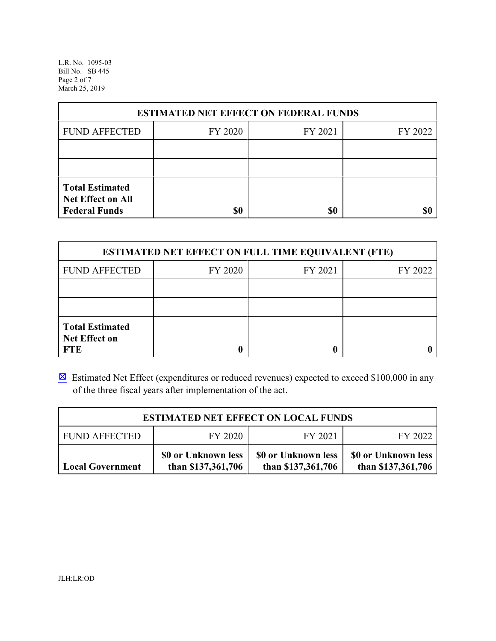L.R. No. 1095-03 Bill No. SB 445 Page 2 of 7 March 25, 2019

| <b>ESTIMATED NET EFFECT ON FEDERAL FUNDS</b>                        |         |         |         |  |  |
|---------------------------------------------------------------------|---------|---------|---------|--|--|
| <b>FUND AFFECTED</b>                                                | FY 2020 | FY 2021 | FY 2022 |  |  |
|                                                                     |         |         |         |  |  |
|                                                                     |         |         |         |  |  |
| <b>Total Estimated</b><br>Net Effect on All<br><b>Federal Funds</b> | \$0     | \$0     |         |  |  |

| <b>ESTIMATED NET EFFECT ON FULL TIME EQUIVALENT (FTE)</b>    |         |         |         |  |  |
|--------------------------------------------------------------|---------|---------|---------|--|--|
| <b>FUND AFFECTED</b>                                         | FY 2020 | FY 2021 | FY 2022 |  |  |
|                                                              |         |         |         |  |  |
|                                                              |         |         |         |  |  |
| <b>Total Estimated</b><br><b>Net Effect on</b><br><b>FTE</b> |         |         |         |  |  |

 $\boxtimes$  Estimated Net Effect (expenditures or reduced revenues) expected to exceed \$100,000 in any of the three fiscal years after implementation of the act.

| <b>ESTIMATED NET EFFECT ON LOCAL FUNDS</b>                                                                                                                     |  |  |  |  |  |  |  |
|----------------------------------------------------------------------------------------------------------------------------------------------------------------|--|--|--|--|--|--|--|
| FY 2021<br><b>FUND AFFECTED</b><br>FY 2020<br>FY 2022                                                                                                          |  |  |  |  |  |  |  |
| \$0 or Unknown less<br>\$0 or Unknown less<br>\$0 or Unknown less<br>than \$137,361,706<br>than \$137,361,706<br>than \$137,361,706<br><b>Local Government</b> |  |  |  |  |  |  |  |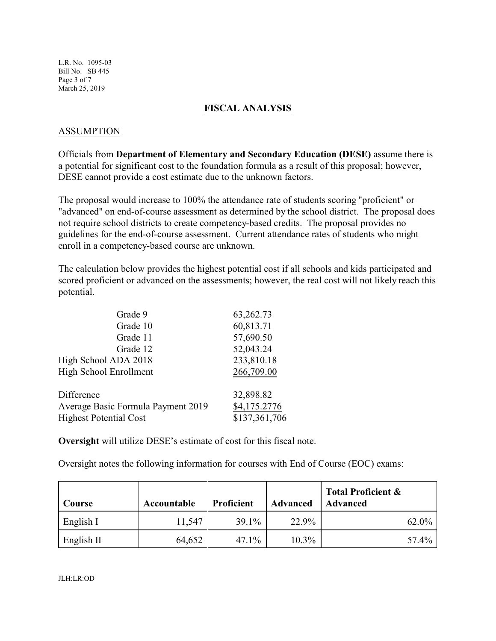L.R. No. 1095-03 Bill No. SB 445 Page 3 of 7 March 25, 2019

## **FISCAL ANALYSIS**

## ASSUMPTION

Officials from **Department of Elementary and Secondary Education (DESE)** assume there is a potential for significant cost to the foundation formula as a result of this proposal; however, DESE cannot provide a cost estimate due to the unknown factors.

The proposal would increase to 100% the attendance rate of students scoring "proficient" or "advanced" on end-of-course assessment as determined by the school district. The proposal does not require school districts to create competency-based credits. The proposal provides no guidelines for the end-of-course assessment. Current attendance rates of students who might enroll in a competency-based course are unknown.

The calculation below provides the highest potential cost if all schools and kids participated and scored proficient or advanced on the assessments; however, the real cost will not likely reach this potential.

| Grade 9                            | 63,262.73     |
|------------------------------------|---------------|
| Grade 10                           | 60,813.71     |
| Grade 11                           | 57,690.50     |
| Grade 12                           | 52,043.24     |
| High School ADA 2018               | 233,810.18    |
| <b>High School Enrollment</b>      | 266,709.00    |
| Difference                         | 32,898.82     |
| Average Basic Formula Payment 2019 | \$4,175.2776  |
| <b>Highest Potential Cost</b>      | \$137,361,706 |

**Oversight** will utilize DESE's estimate of cost for this fiscal note.

Oversight notes the following information for courses with End of Course (EOC) exams:

| Course     | Accountable | <b>Proficient</b> | <b>Advanced</b> | <b>Total Proficient &amp;</b><br>Advanced |
|------------|-------------|-------------------|-----------------|-------------------------------------------|
| English I  | 11,547      | $39.1\%$          | 22.9%           | 62.0%                                     |
| English II | 64,652      | $47.1\%$          | $10.3\%$        | 57.4%                                     |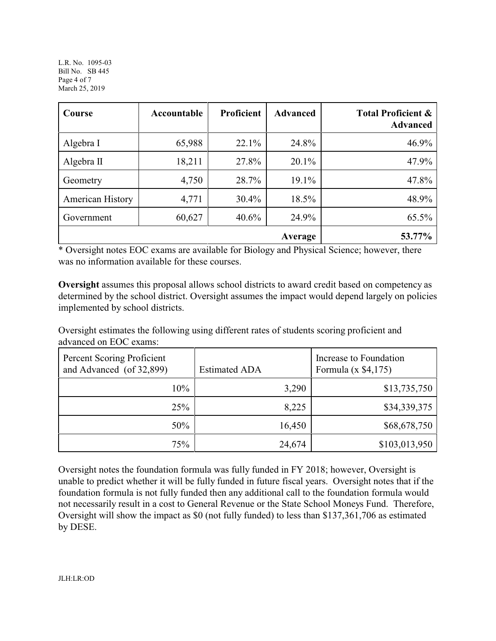L.R. No. 1095-03 Bill No. SB 445 Page 4 of 7 March 25, 2019

| Course                  | Accountable | <b>Proficient</b> | <b>Advanced</b> | <b>Total Proficient &amp;</b><br><b>Advanced</b> |
|-------------------------|-------------|-------------------|-----------------|--------------------------------------------------|
| Algebra I               | 65,988      | 22.1%             | 24.8%           | 46.9%                                            |
| Algebra $II$            | 18,211      | 27.8%             | 20.1%           | 47.9%                                            |
| Geometry                | 4,750       | 28.7%             | 19.1%           | 47.8%                                            |
| <b>American History</b> | 4,771       | $30.4\%$          | 18.5%           | 48.9%                                            |
| Government              | 60,627      | $40.6\%$          | 24.9%           | 65.5%                                            |
|                         |             |                   | Average         | 53.77%                                           |

\* Oversight notes EOC exams are available for Biology and Physical Science; however, there was no information available for these courses.

**Oversight** assumes this proposal allows school districts to award credit based on competency as determined by the school district. Oversight assumes the impact would depend largely on policies implemented by school districts.

Oversight estimates the following using different rates of students scoring proficient and advanced on EOC exams:

| Percent Scoring Proficient<br>and Advanced (of 32,899) | <b>Estimated ADA</b> | Increase to Foundation<br>Formula $(x \, \$4,175)$ |
|--------------------------------------------------------|----------------------|----------------------------------------------------|
| $10\%$                                                 | 3,290                | \$13,735,750                                       |
| 25%                                                    | 8,225                | \$34,339,375                                       |
| 50%                                                    | 16,450               | \$68,678,750                                       |
| 75%                                                    | 24,674               | \$103,013,950                                      |

Oversight notes the foundation formula was fully funded in FY 2018; however, Oversight is unable to predict whether it will be fully funded in future fiscal years. Oversight notes that if the foundation formula is not fully funded then any additional call to the foundation formula would not necessarily result in a cost to General Revenue or the State School Moneys Fund. Therefore, Oversight will show the impact as \$0 (not fully funded) to less than \$137,361,706 as estimated by DESE.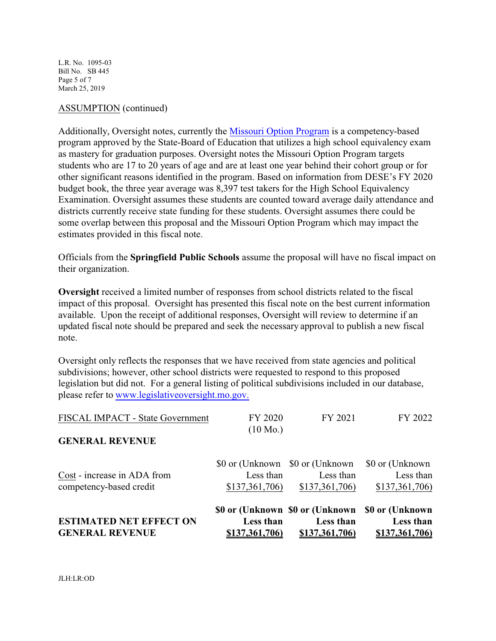L.R. No. 1095-03 Bill No. SB 445 Page 5 of 7 March 25, 2019

### ASSUMPTION (continued)

Additionally, Oversight notes, currently the [Missouri Option Program](https://dese.mo.gov/quality-schools/missouri-option-program) is a competency-based program approved by the State-Board of Education that utilizes a high school equivalency exam as mastery for graduation purposes. Oversight notes the Missouri Option Program targets students who are 17 to 20 years of age and are at least one year behind their cohort group or for other significant reasons identified in the program. Based on information from DESE's FY 2020 budget book, the three year average was 8,397 test takers for the High School Equivalency Examination. Oversight assumes these students are counted toward average daily attendance and districts currently receive state funding for these students. Oversight assumes there could be some overlap between this proposal and the Missouri Option Program which may impact the estimates provided in this fiscal note.

Officials from the **Springfield Public Schools** assume the proposal will have no fiscal impact on their organization.

**Oversight** received a limited number of responses from school districts related to the fiscal impact of this proposal. Oversight has presented this fiscal note on the best current information available. Upon the receipt of additional responses, Oversight will review to determine if an updated fiscal note should be prepared and seek the necessary approval to publish a new fiscal note.

Oversight only reflects the responses that we have received from state agencies and political subdivisions; however, other school districts were requested to respond to this proposed legislation but did not. For a general listing of political subdivisions included in our database, please refer to [www.legislativeoversight.mo.gov.](http://www.legislativeoversight.mo.gov.)

| <b>ESTIMATED NET EFFECT ON</b><br><b>GENERAL REVENUE</b> | Less than<br>\$137,361,706)                                    | \$0 or (Unknown \$0 or (Unknown<br>Less than<br>\$137,361,706) | \$0 or (Unknown)<br>Less than<br>\$137,361,706) |
|----------------------------------------------------------|----------------------------------------------------------------|----------------------------------------------------------------|-------------------------------------------------|
| Cost - increase in ADA from<br>competency-based credit   | \$0 or (Unknown \$0 or (Unknown)<br>Less than<br>\$137,361,706 | Less than<br>\$137,361,706                                     | \$0 or (Unknown)<br>Less than<br>\$137,361,706) |
| <b>GENERAL REVENUE</b>                                   | FY 2020<br>$(10 \text{ Mo.})$                                  | FY 2021                                                        | FY 2022                                         |
| FISCAL IMPACT - State Government                         |                                                                |                                                                |                                                 |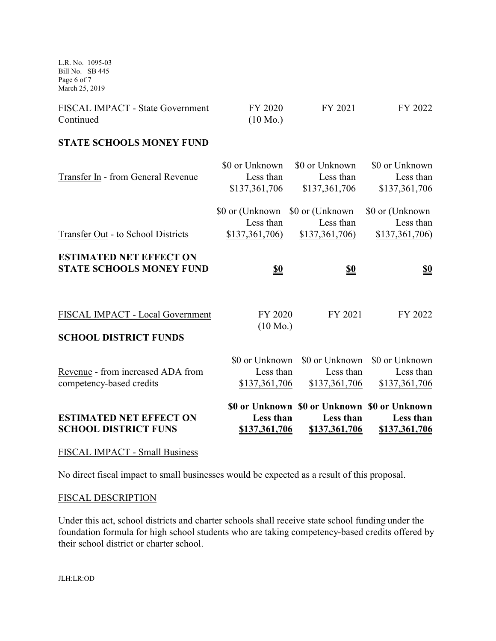L.R. No. 1095-03 Bill No. SB 445 Page 6 of 7 March 25, 2019

| <b>FISCAL IMPACT - State Government</b> | FY 2020            | FY 2021 | FY 2022 |
|-----------------------------------------|--------------------|---------|---------|
| Continued                               | $(10 \text{ Mo.})$ |         |         |

#### **STATE SCHOOLS MONEY FUND**

| <b>ESTIMATED NET EFFECT ON</b>                                    | Less than                                       | \$0 or Unknown \$0 or Unknown \$0 or Unknown<br>Less than | Less than                                       |
|-------------------------------------------------------------------|-------------------------------------------------|-----------------------------------------------------------|-------------------------------------------------|
| Revenue - from increased ADA from<br>competency-based credits     | \$0 or Unknown<br>Less than<br>\$137,361,706    | \$0 or Unknown<br>Less than<br>\$137,361,706              | \$0 or Unknown<br>Less than<br>\$137,361,706    |
| <b>SCHOOL DISTRICT FUNDS</b>                                      |                                                 |                                                           |                                                 |
| FISCAL IMPACT - Local Government                                  | FY 2020<br>$(10 \text{ Mo.})$                   | FY 2021                                                   | FY 2022                                         |
| <b>ESTIMATED NET EFFECT ON</b><br><b>STATE SCHOOLS MONEY FUND</b> | $\underline{\underline{\$0}}$                   | $\underline{\underline{\$0}}$                             | $\underline{\underline{\$0}}$                   |
| Transfer Out - to School Districts                                | \$0 or (Unknown)<br>Less than<br>\$137,361,706) | \$0 or (Unknown)<br>Less than<br>\$137,361,706            | \$0 or (Unknown)<br>Less than<br>\$137,361,706) |
| Transfer In - from General Revenue                                | Less than<br>\$137,361,706                      | Less than<br>\$137,361,706                                | Less than<br>\$137,361,706                      |
|                                                                   | \$0 or Unknown                                  | \$0 or Unknown                                            | \$0 or Unknown                                  |

# FISCAL IMPACT - Small Business

No direct fiscal impact to small businesses would be expected as a result of this proposal.

## FISCAL DESCRIPTION

Under this act, school districts and charter schools shall receive state school funding under the foundation formula for high school students who are taking competency-based credits offered by their school district or charter school.

JLH:LR:OD